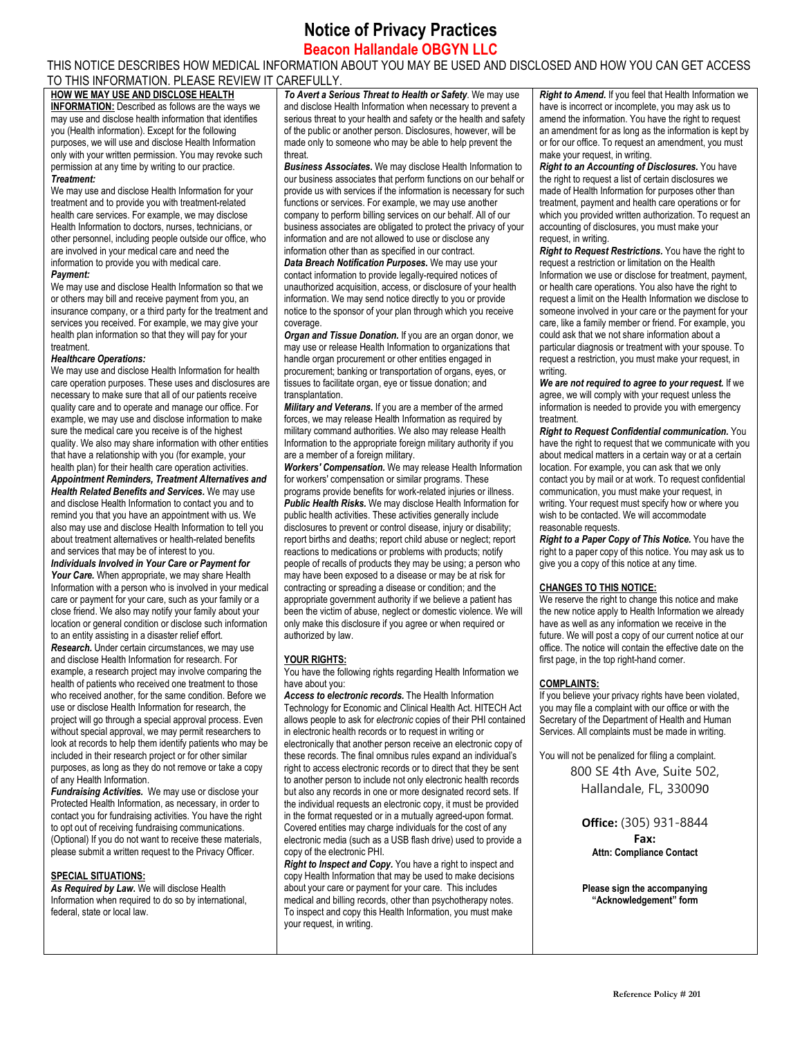# **Notice of Privacy Practices**

### **Beacon Hallandale OBGYN LLC**

THIS NOTICE DESCRIBES HOW MEDICAL INFORMATION ABOUT YOU MAY BE USED AND DISCLOSED AND HOW YOU CAN GET ACCESS TO THIS INFORMATION. PLEASE REVIEW IT CAREFULLY.

**HOW WE MAY USE AND DISCLOSE HEALTH INFORMATION:** Described as follows are the ways we may use and disclose health information that identifies you (Health information). Except for the following purposes, we will use and disclose Health Information only with your written permission. You may revoke such permission at any time by writing to our practice. *Treatment:*

We may use and disclose Health Information for your treatment and to provide you with treatment-related health care services. For example, we may disclose Health Information to doctors, nurses, technicians, or other personnel, including people outside our office, who are involved in your medical care and need the information to provide you with medical care.

#### *Payment:*

We may use and disclose Health Information so that we or others may bill and receive payment from you, an insurance company, or a third party for the treatment and services you received. For example, we may give your health plan information so that they will pay for your treatment.

#### *Healthcare Operations:*

We may use and disclose Health Information for health care operation purposes. These uses and disclosures are necessary to make sure that all of our patients receive quality care and to operate and manage our office. For example, we may use and disclose information to make sure the medical care you receive is of the highest quality. We also may share information with other entities that have a relationship with you (for example, your health plan) for their health care operation activities.

*Appointment Reminders, Treatment Alternatives and Health Related Benefits and Services.* We may use and disclose Health Information to contact you and to remind you that you have an appointment with us. We also may use and disclose Health Information to tell you about treatment alternatives or health-related benefits and services that may be of interest to you.

*Individuals Involved in Your Care or Payment for*  Your Care. When appropriate, we may share Health Information with a person who is involved in your medical care or payment for your care, such as your family or a close friend. We also may notify your family about your location or general condition or disclose such information to an entity assisting in a disaster relief effort. *Research.* Under certain circumstances, we may use and disclose Health Information for research. For example, a research project may involve comparing the health of patients who received one treatment to those who received another, for the same condition. Before we use or disclose Health Information for research, the project will go through a special approval process. Even without special approval, we may permit researchers to look at records to help them identify patients who may be included in their research project or for other similar purposes, as long as they do not remove or take a copy of any Health Information.

*Fundraising Activities.*We may use or disclose your Protected Health Information, as necessary, in order to contact you for fundraising activities. You have the right to opt out of receiving fundraising communications. (Optional) If you do not want to receive these materials, please submit a written request to the Privacy Officer.

#### **SPECIAL SITUATIONS:**

*As Required by Law***.** We will disclose Health Information when required to do so by international, federal, state or local law.

*To Avert a Serious Threat to Health or Safety*. We may use and disclose Health Information when necessary to prevent a serious threat to your health and safety or the health and safety of the public or another person. Disclosures, however, will be made only to someone who may be able to help prevent the threat.

*Business Associates***.** We may disclose Health Information to our business associates that perform functions on our behalf or provide us with services if the information is necessary for such functions or services. For example, we may use another company to perform billing services on our behalf. All of our business associates are obligated to protect the privacy of your information and are not allowed to use or disclose any information other than as specified in our contract.

*Data Breach Notification Purposes***.** We may use your contact information to provide legally-required notices of unauthorized acquisition, access, or disclosure of your health information. We may send notice directly to you or provide notice to the sponsor of your plan through which you receive coverage.

*Organ and Tissue Donation.* If you are an organ donor, we may use or release Health Information to organizations that handle organ procurement or other entities engaged in procurement; banking or transportation of organs, eyes, or tissues to facilitate organ, eye or tissue donation; and transplantation.

*Military and Veterans.* If you are a member of the armed forces, we may release Health Information as required by military command authorities. We also may release Health Information to the appropriate foreign military authority if you are a member of a foreign military.

*Workers' Compensation.* We may release Health Information for workers' compensation or similar programs. These programs provide benefits for work-related injuries or illness. *Public Health Risks.* We may disclose Health Information for public health activities. These activities generally include disclosures to prevent or control disease, injury or disability; report births and deaths; report child abuse or neglect; report reactions to medications or problems with products; notify people of recalls of products they may be using; a person who may have been exposed to a disease or may be at risk for contracting or spreading a disease or condition; and the appropriate government authority if we believe a patient has been the victim of abuse, neglect or domestic violence. We will only make this disclosure if you agree or when required or authorized by law.

#### **YOUR RIGHTS:**

You have the following rights regarding Health Information we have about you:

*Access to electronic records.* The Health Information Technology for Economic and Clinical Health Act. HITECH Act allows people to ask for *electronic* copies of their PHI contained in electronic health records or to request in writing or electronically that another person receive an electronic copy of these records. The final omnibus rules expand an individual's right to access electronic records or to direct that they be sent to another person to include not only electronic health records but also any records in one or more designated record sets. If the individual requests an electronic copy, it must be provided in the format requested or in a mutually agreed-upon format. Covered entities may charge individuals for the cost of any electronic media (such as a USB flash drive) used to provide a copy of the electronic PHI.

*Right to Inspect and Copy.* You have a right to inspect and copy Health Information that may be used to make decisions about your care or payment for your care. This includes medical and billing records, other than psychotherapy notes. To inspect and copy this Health Information, you must make your request, in writing.

*Right to Amend.* If you feel that Health Information we have is incorrect or incomplete, you may ask us to amend the information. You have the right to request an amendment for as long as the information is kept by or for our office. To request an amendment, you must make your request, in writing.

*Right to an Accounting of Disclosures.* You have the right to request a list of certain disclosures we made of Health Information for purposes other than treatment, payment and health care operations or for which you provided written authorization. To request an accounting of disclosures, you must make your request, in writing.

*Right to Request Restrictions.* You have the right to request a restriction or limitation on the Health Information we use or disclose for treatment, payment, or health care operations. You also have the right to request a limit on the Health Information we disclose to someone involved in your care or the payment for your care, like a family member or friend. For example, you could ask that we not share information about a particular diagnosis or treatment with your spouse. To request a restriction, you must make your request, in writing.

*We are not required to agree to your request.* If we agree, we will comply with your request unless the information is needed to provide you with emergency treatment.

*Right to Request Confidential communication.* You have the right to request that we communicate with you about medical matters in a certain way or at a certain location. For example, you can ask that we only contact you by mail or at work. To request confidential communication, you must make your request, in writing. Your request must specify how or where you wish to be contacted. We will accommodate reasonable requests.

*Right to a Paper Copy of This Notice.* You have the right to a paper copy of this notice. You may ask us to give you a copy of this notice at any time.

#### **CHANGES TO THIS NOTICE:**

We reserve the right to change this notice and make the new notice apply to Health Information we already have as well as any information we receive in the future. We will post a copy of our current notice at our office. The notice will contain the effective date on the first page, in the top right-hand corner.

#### **COMPLAINTS:**

If you believe your privacy rights have been violated, you may file a complaint with our office or with the Secretary of the Department of Health and Human Services. All complaints must be made in writing.

You will not be penalized for filing a complaint. [800 SE 4th Ave, Suite 502,](https://goo.gl/maps/CzxMnd2waFwjy76s6)  [Hallandale, FL, 33009](https://goo.gl/maps/CzxMnd2waFwjy76s6)0

> **Office:** (305) 931-8844 **Fax: Attn: Compliance Contact**

> **Please sign the accompanying "Acknowledgement" form**